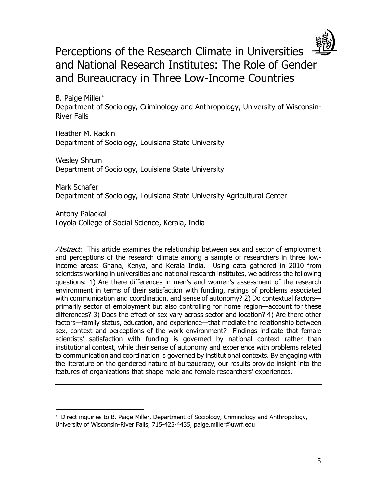

Perceptions of the Research Climate in Universities and National Research Institutes: The Role of Gender and Bureaucracy in Three Low-Income Countries

B. Paige Miller Department of Sociology, Criminology and Anthropology, University of Wisconsin-River Falls

Heather M. Rackin Department of Sociology, Louisiana State University

Wesley Shrum Department of Sociology, Louisiana State University

Mark Schafer Department of Sociology, Louisiana State University Agricultural Center

Antony Palackal Loyola College of Social Science, Kerala, India

 $\overline{\phantom{a}}$ 

Abstract: This article examines the relationship between sex and sector of employment and perceptions of the research climate among a sample of researchers in three lowincome areas: Ghana, Kenya, and Kerala India. Using data gathered in 2010 from scientists working in universities and national research institutes, we address the following questions: 1) Are there differences in men's and women's assessment of the research environment in terms of their satisfaction with funding, ratings of problems associated with communication and coordination, and sense of autonomy? 2) Do contextual factors primarily sector of employment but also controlling for home region—account for these differences? 3) Does the effect of sex vary across sector and location? 4) Are there other factors—family status, education, and experience—that mediate the relationship between sex, context and perceptions of the work environment? Findings indicate that female scientists' satisfaction with funding is governed by national context rather than institutional context, while their sense of autonomy and experience with problems related to communication and coordination is governed by institutional contexts. By engaging with the literature on the gendered nature of bureaucracy, our results provide insight into the features of organizations that shape male and female researchers' experiences.

 Direct inquiries to B. Paige Miller, Department of Sociology, Criminology and Anthropology, University of Wisconsin-River Falls; 715-425-4435, paige.miller@uwrf.edu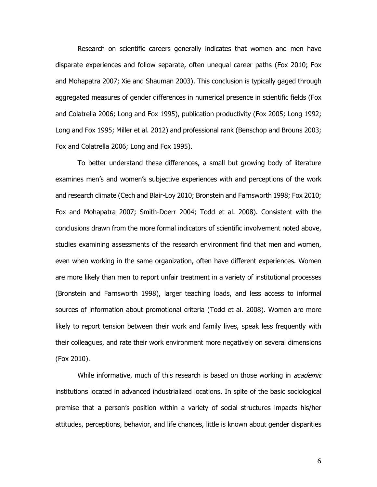Research on scientific careers generally indicates that women and men have disparate experiences and follow separate, often unequal career paths (Fox 2010; Fox and Mohapatra 2007; Xie and Shauman 2003). This conclusion is typically gaged through aggregated measures of gender differences in numerical presence in scientific fields (Fox and Colatrella 2006; Long and Fox 1995), publication productivity (Fox 2005; Long 1992; Long and Fox 1995; Miller et al. 2012) and professional rank (Benschop and Brouns 2003; Fox and Colatrella 2006; Long and Fox 1995).

To better understand these differences, a small but growing body of literature examines men's and women's subjective experiences with and perceptions of the work and research climate (Cech and Blair-Loy 2010; Bronstein and Farnsworth 1998; Fox 2010; Fox and Mohapatra 2007; Smith-Doerr 2004; Todd et al. 2008). Consistent with the conclusions drawn from the more formal indicators of scientific involvement noted above, studies examining assessments of the research environment find that men and women, even when working in the same organization, often have different experiences. Women are more likely than men to report unfair treatment in a variety of institutional processes (Bronstein and Farnsworth 1998), larger teaching loads, and less access to informal sources of information about promotional criteria (Todd et al. 2008). Women are more likely to report tension between their work and family lives, speak less frequently with their colleagues, and rate their work environment more negatively on several dimensions (Fox 2010).

While informative, much of this research is based on those working in *academic* institutions located in advanced industrialized locations. In spite of the basic sociological premise that a person's position within a variety of social structures impacts his/her attitudes, perceptions, behavior, and life chances, little is known about gender disparities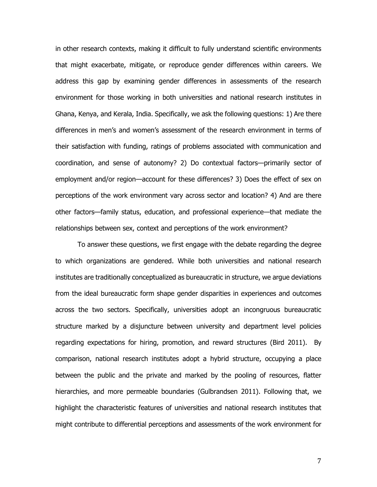in other research contexts, making it difficult to fully understand scientific environments that might exacerbate, mitigate, or reproduce gender differences within careers. We address this gap by examining gender differences in assessments of the research environment for those working in both universities and national research institutes in Ghana, Kenya, and Kerala, India. Specifically, we ask the following questions: 1) Are there differences in men's and women's assessment of the research environment in terms of their satisfaction with funding, ratings of problems associated with communication and coordination, and sense of autonomy? 2) Do contextual factors—primarily sector of employment and/or region—account for these differences? 3) Does the effect of sex on perceptions of the work environment vary across sector and location? 4) And are there other factors—family status, education, and professional experience—that mediate the relationships between sex, context and perceptions of the work environment?

To answer these questions, we first engage with the debate regarding the degree to which organizations are gendered. While both universities and national research institutes are traditionally conceptualized as bureaucratic in structure, we argue deviations from the ideal bureaucratic form shape gender disparities in experiences and outcomes across the two sectors. Specifically, universities adopt an incongruous bureaucratic structure marked by a disjuncture between university and department level policies regarding expectations for hiring, promotion, and reward structures (Bird 2011). By comparison, national research institutes adopt a hybrid structure, occupying a place between the public and the private and marked by the pooling of resources, flatter hierarchies, and more permeable boundaries (Gulbrandsen 2011). Following that, we highlight the characteristic features of universities and national research institutes that might contribute to differential perceptions and assessments of the work environment for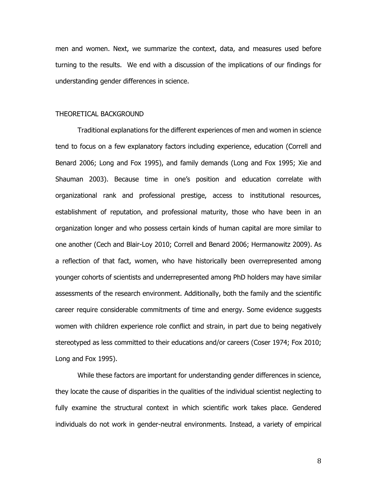men and women. Next, we summarize the context, data, and measures used before turning to the results. We end with a discussion of the implications of our findings for understanding gender differences in science.

#### THEORETICAL BACKGROUND

Traditional explanations for the different experiences of men and women in science tend to focus on a few explanatory factors including experience, education (Correll and Benard 2006; Long and Fox 1995), and family demands (Long and Fox 1995; Xie and Shauman 2003). Because time in one's position and education correlate with organizational rank and professional prestige, access to institutional resources, establishment of reputation, and professional maturity, those who have been in an organization longer and who possess certain kinds of human capital are more similar to one another (Cech and Blair-Loy 2010; Correll and Benard 2006; Hermanowitz 2009). As a reflection of that fact, women, who have historically been overrepresented among younger cohorts of scientists and underrepresented among PhD holders may have similar assessments of the research environment. Additionally, both the family and the scientific career require considerable commitments of time and energy. Some evidence suggests women with children experience role conflict and strain, in part due to being negatively stereotyped as less committed to their educations and/or careers (Coser 1974; Fox 2010; Long and Fox 1995).

While these factors are important for understanding gender differences in science, they locate the cause of disparities in the qualities of the individual scientist neglecting to fully examine the structural context in which scientific work takes place. Gendered individuals do not work in gender-neutral environments. Instead, a variety of empirical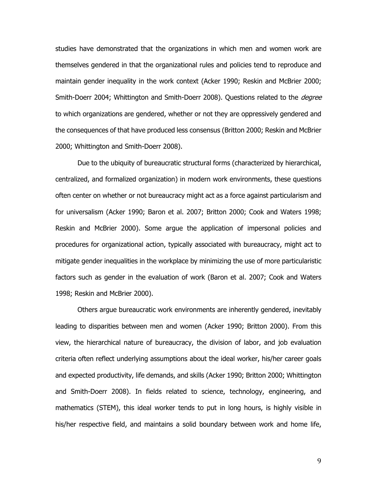studies have demonstrated that the organizations in which men and women work are themselves gendered in that the organizational rules and policies tend to reproduce and maintain gender inequality in the work context (Acker 1990; Reskin and McBrier 2000; Smith-Doerr 2004; Whittington and Smith-Doerr 2008). Questions related to the *degree* to which organizations are gendered, whether or not they are oppressively gendered and the consequences of that have produced less consensus (Britton 2000; Reskin and McBrier 2000; Whittington and Smith-Doerr 2008).

Due to the ubiquity of bureaucratic structural forms (characterized by hierarchical, centralized, and formalized organization) in modern work environments, these questions often center on whether or not bureaucracy might act as a force against particularism and for universalism (Acker 1990; Baron et al. 2007; Britton 2000; Cook and Waters 1998; Reskin and McBrier 2000). Some argue the application of impersonal policies and procedures for organizational action, typically associated with bureaucracy, might act to mitigate gender inequalities in the workplace by minimizing the use of more particularistic factors such as gender in the evaluation of work (Baron et al. 2007; Cook and Waters 1998; Reskin and McBrier 2000).

Others argue bureaucratic work environments are inherently gendered, inevitably leading to disparities between men and women (Acker 1990; Britton 2000). From this view, the hierarchical nature of bureaucracy, the division of labor, and job evaluation criteria often reflect underlying assumptions about the ideal worker, his/her career goals and expected productivity, life demands, and skills (Acker 1990; Britton 2000; Whittington and Smith-Doerr 2008). In fields related to science, technology, engineering, and mathematics (STEM), this ideal worker tends to put in long hours, is highly visible in his/her respective field, and maintains a solid boundary between work and home life,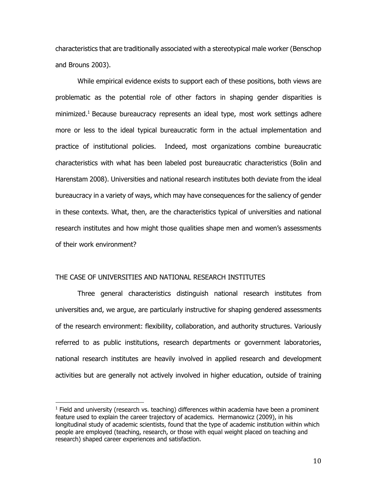characteristics that are traditionally associated with a stereotypical male worker (Benschop and Brouns 2003).

While empirical evidence exists to support each of these positions, both views are problematic as the potential role of other factors in shaping gender disparities is minimized.<sup>1</sup> Because bureaucracy represents an ideal type, most work settings adhere more or less to the ideal typical bureaucratic form in the actual implementation and practice of institutional policies. Indeed, most organizations combine bureaucratic characteristics with what has been labeled post bureaucratic characteristics (Bolin and Harenstam 2008). Universities and national research institutes both deviate from the ideal bureaucracy in a variety of ways, which may have consequences for the saliency of gender in these contexts. What, then, are the characteristics typical of universities and national research institutes and how might those qualities shape men and women's assessments of their work environment?

## THE CASE OF UNIVERSITIES AND NATIONAL RESEARCH INSTITUTES

 $\overline{\phantom{a}}$ 

Three general characteristics distinguish national research institutes from universities and, we argue, are particularly instructive for shaping gendered assessments of the research environment: flexibility, collaboration, and authority structures. Variously referred to as public institutions, research departments or government laboratories, national research institutes are heavily involved in applied research and development activities but are generally not actively involved in higher education, outside of training

 $<sup>1</sup>$  Field and university (research vs. teaching) differences within academia have been a prominent</sup> feature used to explain the career trajectory of academics. Hermanowicz (2009), in his longitudinal study of academic scientists, found that the type of academic institution within which people are employed (teaching, research, or those with equal weight placed on teaching and research) shaped career experiences and satisfaction.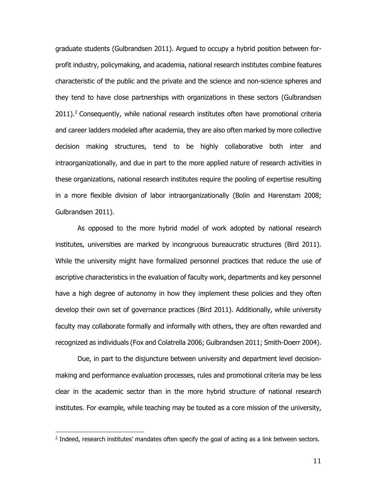graduate students (Gulbrandsen 2011). Argued to occupy a hybrid position between forprofit industry, policymaking, and academia, national research institutes combine features characteristic of the public and the private and the science and non-science spheres and they tend to have close partnerships with organizations in these sectors (Gulbrandsen  $2011$ ).<sup>2</sup> Consequently, while national research institutes often have promotional criteria and career ladders modeled after academia, they are also often marked by more collective decision making structures, tend to be highly collaborative both inter and intraorganizationally, and due in part to the more applied nature of research activities in these organizations, national research institutes require the pooling of expertise resulting in a more flexible division of labor intraorganizationally (Bolin and Harenstam 2008; Gulbrandsen 2011).

As opposed to the more hybrid model of work adopted by national research institutes, universities are marked by incongruous bureaucratic structures (Bird 2011). While the university might have formalized personnel practices that reduce the use of ascriptive characteristics in the evaluation of faculty work, departments and key personnel have a high degree of autonomy in how they implement these policies and they often develop their own set of governance practices (Bird 2011). Additionally, while university faculty may collaborate formally and informally with others, they are often rewarded and recognized as individuals (Fox and Colatrella 2006; Gulbrandsen 2011; Smith-Doerr 2004).

Due, in part to the disjuncture between university and department level decisionmaking and performance evaluation processes, rules and promotional criteria may be less clear in the academic sector than in the more hybrid structure of national research institutes. For example, while teaching may be touted as a core mission of the university,

l

<sup>&</sup>lt;sup>2</sup> Indeed, research institutes' mandates often specify the goal of acting as a link between sectors.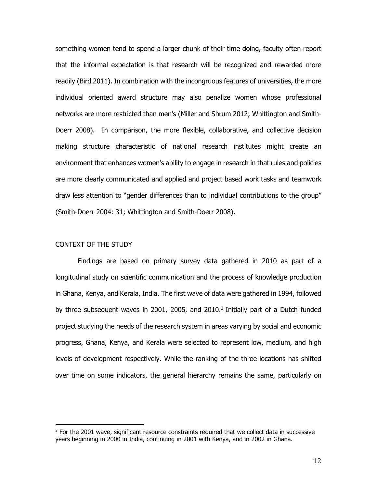something women tend to spend a larger chunk of their time doing, faculty often report that the informal expectation is that research will be recognized and rewarded more readily (Bird 2011). In combination with the incongruous features of universities, the more individual oriented award structure may also penalize women whose professional networks are more restricted than men's (Miller and Shrum 2012; Whittington and Smith-Doerr 2008). In comparison, the more flexible, collaborative, and collective decision making structure characteristic of national research institutes might create an environment that enhances women's ability to engage in research in that rules and policies are more clearly communicated and applied and project based work tasks and teamwork draw less attention to "gender differences than to individual contributions to the group" (Smith-Doerr 2004: 31; Whittington and Smith-Doerr 2008).

# CONTEXT OF THE STUDY

l

Findings are based on primary survey data gathered in 2010 as part of a longitudinal study on scientific communication and the process of knowledge production in Ghana, Kenya, and Kerala, India. The first wave of data were gathered in 1994, followed by three subsequent waves in 2001, 2005, and 2010.<sup>3</sup> Initially part of a Dutch funded project studying the needs of the research system in areas varying by social and economic progress, Ghana, Kenya, and Kerala were selected to represent low, medium, and high levels of development respectively. While the ranking of the three locations has shifted over time on some indicators, the general hierarchy remains the same, particularly on

 $3$  For the 2001 wave, significant resource constraints required that we collect data in successive years beginning in 2000 in India, continuing in 2001 with Kenya, and in 2002 in Ghana.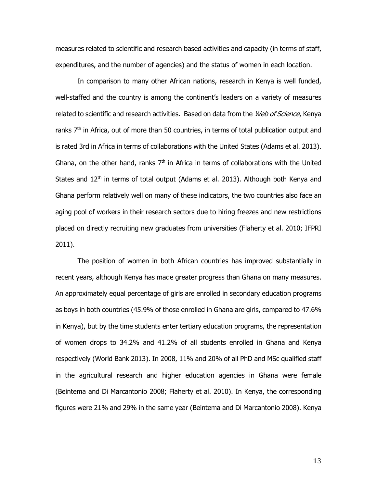measures related to scientific and research based activities and capacity (in terms of staff, expenditures, and the number of agencies) and the status of women in each location.

In comparison to many other African nations, research in Kenya is well funded, well-staffed and the country is among the continent's leaders on a variety of measures related to scientific and research activities. Based on data from the Web of Science, Kenya ranks  $7<sup>th</sup>$  in Africa, out of more than 50 countries, in terms of total publication output and is rated 3rd in Africa in terms of collaborations with the United States (Adams et al. 2013). Ghana, on the other hand, ranks  $7<sup>th</sup>$  in Africa in terms of collaborations with the United States and  $12<sup>th</sup>$  in terms of total output (Adams et al. 2013). Although both Kenya and Ghana perform relatively well on many of these indicators, the two countries also face an aging pool of workers in their research sectors due to hiring freezes and new restrictions placed on directly recruiting new graduates from universities (Flaherty et al. 2010; IFPRI 2011).

The position of women in both African countries has improved substantially in recent years, although Kenya has made greater progress than Ghana on many measures. An approximately equal percentage of girls are enrolled in secondary education programs as boys in both countries (45.9% of those enrolled in Ghana are girls, compared to 47.6% in Kenya), but by the time students enter tertiary education programs, the representation of women drops to 34.2% and 41.2% of all students enrolled in Ghana and Kenya respectively (World Bank 2013). In 2008, 11% and 20% of all PhD and MSc qualified staff in the agricultural research and higher education agencies in Ghana were female (Beintema and Di Marcantonio 2008; Flaherty et al. 2010). In Kenya, the corresponding figures were 21% and 29% in the same year (Beintema and Di Marcantonio 2008). Kenya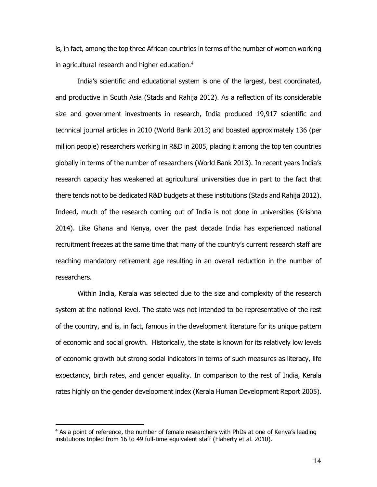is, in fact, among the top three African countries in terms of the number of women working in agricultural research and higher education. $4$ 

India's scientific and educational system is one of the largest, best coordinated, and productive in South Asia (Stads and Rahija 2012). As a reflection of its considerable size and government investments in research, India produced 19,917 scientific and technical journal articles in 2010 (World Bank 2013) and boasted approximately 136 (per million people) researchers working in R&D in 2005, placing it among the top ten countries globally in terms of the number of researchers (World Bank 2013). In recent years India's research capacity has weakened at agricultural universities due in part to the fact that there tends not to be dedicated R&D budgets at these institutions (Stads and Rahija 2012). Indeed, much of the research coming out of India is not done in universities (Krishna 2014). Like Ghana and Kenya, over the past decade India has experienced national recruitment freezes at the same time that many of the country's current research staff are reaching mandatory retirement age resulting in an overall reduction in the number of researchers.

Within India, Kerala was selected due to the size and complexity of the research system at the national level. The state was not intended to be representative of the rest of the country, and is, in fact, famous in the development literature for its unique pattern of economic and social growth. Historically, the state is known for its relatively low levels of economic growth but strong social indicators in terms of such measures as literacy, life expectancy, birth rates, and gender equality. In comparison to the rest of India, Kerala rates highly on the gender development index (Kerala Human Development Report 2005).

l

<sup>&</sup>lt;sup>4</sup> As a point of reference, the number of female researchers with PhDs at one of Kenya's leading institutions tripled from 16 to 49 full-time equivalent staff (Flaherty et al. 2010).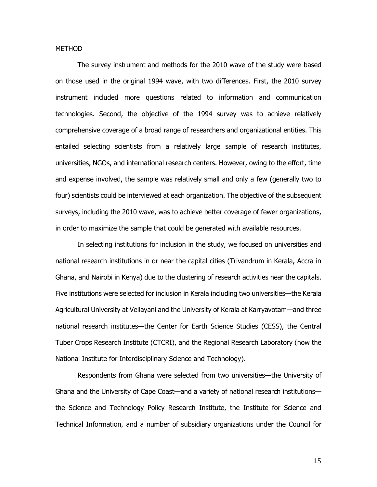### METHOD

The survey instrument and methods for the 2010 wave of the study were based on those used in the original 1994 wave, with two differences. First, the 2010 survey instrument included more questions related to information and communication technologies. Second, the objective of the 1994 survey was to achieve relatively comprehensive coverage of a broad range of researchers and organizational entities. This entailed selecting scientists from a relatively large sample of research institutes, universities, NGOs, and international research centers. However, owing to the effort, time and expense involved, the sample was relatively small and only a few (generally two to four) scientists could be interviewed at each organization. The objective of the subsequent surveys, including the 2010 wave, was to achieve better coverage of fewer organizations, in order to maximize the sample that could be generated with available resources.

In selecting institutions for inclusion in the study, we focused on universities and national research institutions in or near the capital cities (Trivandrum in Kerala, Accra in Ghana, and Nairobi in Kenya) due to the clustering of research activities near the capitals. Five institutions were selected for inclusion in Kerala including two universities—the Kerala Agricultural University at Vellayani and the University of Kerala at Karryavotam—and three national research institutes—the Center for Earth Science Studies (CESS), the Central Tuber Crops Research Institute (CTCRI), and the Regional Research Laboratory (now the National Institute for Interdisciplinary Science and Technology).

Respondents from Ghana were selected from two universities—the University of Ghana and the University of Cape Coast—and a variety of national research institutions the Science and Technology Policy Research Institute, the Institute for Science and Technical Information, and a number of subsidiary organizations under the Council for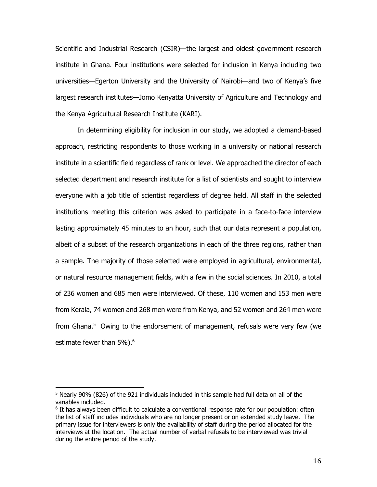Scientific and Industrial Research (CSIR)—the largest and oldest government research institute in Ghana. Four institutions were selected for inclusion in Kenya including two universities—Egerton University and the University of Nairobi—and two of Kenya's five largest research institutes—Jomo Kenyatta University of Agriculture and Technology and the Kenya Agricultural Research Institute (KARI).

In determining eligibility for inclusion in our study, we adopted a demand-based approach, restricting respondents to those working in a university or national research institute in a scientific field regardless of rank or level. We approached the director of each selected department and research institute for a list of scientists and sought to interview everyone with a job title of scientist regardless of degree held. All staff in the selected institutions meeting this criterion was asked to participate in a face-to-face interview lasting approximately 45 minutes to an hour, such that our data represent a population, albeit of a subset of the research organizations in each of the three regions, rather than a sample. The majority of those selected were employed in agricultural, environmental, or natural resource management fields, with a few in the social sciences. In 2010, a total of 236 women and 685 men were interviewed. Of these, 110 women and 153 men were from Kerala, 74 women and 268 men were from Kenya, and 52 women and 264 men were from Ghana.<sup>5</sup> Owing to the endorsement of management, refusals were very few (we estimate fewer than 5%).<sup>6</sup>

 $\overline{\phantom{a}}$ 

 $5$  Nearly 90% (826) of the 921 individuals included in this sample had full data on all of the variables included.

<sup>&</sup>lt;sup>6</sup> It has always been difficult to calculate a conventional response rate for our population: often the list of staff includes individuals who are no longer present or on extended study leave. The primary issue for interviewers is only the availability of staff during the period allocated for the interviews at the location. The actual number of verbal refusals to be interviewed was trivial during the entire period of the study.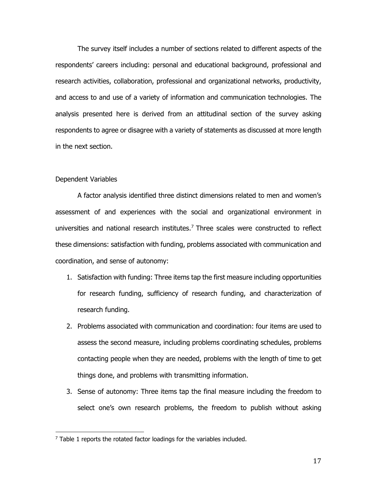The survey itself includes a number of sections related to different aspects of the respondents' careers including: personal and educational background, professional and research activities, collaboration, professional and organizational networks, productivity, and access to and use of a variety of information and communication technologies. The analysis presented here is derived from an attitudinal section of the survey asking respondents to agree or disagree with a variety of statements as discussed at more length in the next section.

## Dependent Variables

l

A factor analysis identified three distinct dimensions related to men and women's assessment of and experiences with the social and organizational environment in universities and national research institutes. <sup>7</sup> Three scales were constructed to reflect these dimensions: satisfaction with funding, problems associated with communication and coordination, and sense of autonomy:

- 1. Satisfaction with funding: Three items tap the first measure including opportunities for research funding, sufficiency of research funding, and characterization of research funding.
- 2. Problems associated with communication and coordination: four items are used to assess the second measure, including problems coordinating schedules, problems contacting people when they are needed, problems with the length of time to get things done, and problems with transmitting information.
- 3. Sense of autonomy: Three items tap the final measure including the freedom to select one's own research problems, the freedom to publish without asking

 $7$  Table 1 reports the rotated factor loadings for the variables included.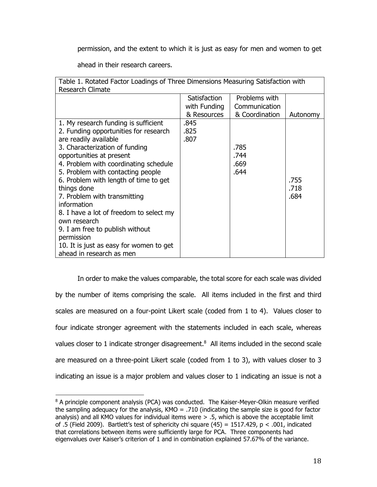permission, and the extent to which it is just as easy for men and women to get

ahead in their research careers.

 $\overline{\phantom{a}}$ 

| Table 1. Rotated Factor Loadings of Three Dimensions Measuring Satisfaction with |              |                |          |
|----------------------------------------------------------------------------------|--------------|----------------|----------|
| <b>Research Climate</b>                                                          |              |                |          |
|                                                                                  | Satisfaction | Problems with  |          |
|                                                                                  | with Funding | Communication  |          |
|                                                                                  | & Resources  | & Coordination | Autonomy |
| 1. My research funding is sufficient                                             | .845         |                |          |
| 2. Funding opportunities for research                                            | .825         |                |          |
| are readily available                                                            | .807         |                |          |
| 3. Characterization of funding                                                   |              | .785           |          |
| opportunities at present                                                         |              | .744           |          |
| 4. Problem with coordinating schedule                                            |              | .669           |          |
| 5. Problem with contacting people                                                |              | .644           |          |
| 6. Problem with length of time to get                                            |              |                | .755     |
| things done                                                                      |              |                | .718     |
| 7. Problem with transmitting                                                     |              |                | .684     |
| information                                                                      |              |                |          |
| 8. I have a lot of freedom to select my                                          |              |                |          |
| own research                                                                     |              |                |          |
| 9. I am free to publish without                                                  |              |                |          |
| permission                                                                       |              |                |          |
| 10. It is just as easy for women to get                                          |              |                |          |
| ahead in research as men                                                         |              |                |          |

In order to make the values comparable, the total score for each scale was divided by the number of items comprising the scale. All items included in the first and third scales are measured on a four-point Likert scale (coded from 1 to 4). Values closer to four indicate stronger agreement with the statements included in each scale, whereas values closer to 1 indicate stronger disagreement.<sup>8</sup> All items included in the second scale are measured on a three-point Likert scale (coded from 1 to 3), with values closer to 3 indicating an issue is a major problem and values closer to 1 indicating an issue is not a

 $8$  A principle component analysis (PCA) was conducted. The Kaiser-Meyer-Olkin measure verified the sampling adequacy for the analysis, KMO = .710 (indicating the sample size is good for factor analysis) and all KMO values for individual items were  $> 0.5$ , which is above the acceptable limit of .5 (Field 2009). Bartlett's test of sphericity chi square (45) =  $1517.429$ , p < .001, indicated that correlations between items were sufficiently large for PCA. Three components had eigenvalues over Kaiser's criterion of 1 and in combination explained 57.67% of the variance.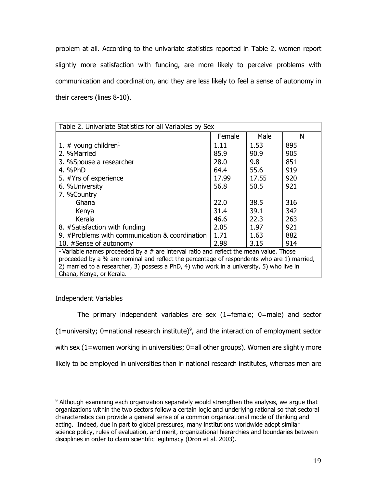problem at all. According to the univariate statistics reported in Table 2, women report slightly more satisfaction with funding, are more likely to perceive problems with communication and coordination, and they are less likely to feel a sense of autonomy in their careers (lines 8-10).

| Table 2. Univariate Statistics for all Variables by Sex                                                                                                                                 |        |       |     |
|-----------------------------------------------------------------------------------------------------------------------------------------------------------------------------------------|--------|-------|-----|
|                                                                                                                                                                                         | Female | Male  | N   |
| 1. # young children <sup>1</sup>                                                                                                                                                        | 1.11   | 1.53  | 895 |
| 2. %Married                                                                                                                                                                             | 85.9   | 90.9  | 905 |
| 3. %Spouse a researcher                                                                                                                                                                 | 28.0   | 9.8   | 851 |
| 4. %PhD                                                                                                                                                                                 | 64.4   | 55.6  | 919 |
| 5. #Yrs of experience                                                                                                                                                                   | 17.99  | 17.55 | 920 |
| 6. %University                                                                                                                                                                          | 56.8   | 50.5  | 921 |
| 7. %Country                                                                                                                                                                             |        |       |     |
| Ghana                                                                                                                                                                                   | 22.0   | 38.5  | 316 |
| Kenya                                                                                                                                                                                   | 31.4   | 39.1  | 342 |
| Kerala                                                                                                                                                                                  | 46.6   | 22.3  | 263 |
| 8. #Satisfaction with funding                                                                                                                                                           | 2.05   | 1.97  | 921 |
| 9. #Problems with communication & coordination                                                                                                                                          | 1.71   | 1.63  | 882 |
| 10. #Sense of autonomy                                                                                                                                                                  | 2.98   | 3.15  | 914 |
| <sup>1</sup> Variable names proceeded by a $#$ are interval ratio and reflect the mean value. Those                                                                                     |        |       |     |
| proceeded by a % are nominal and reflect the percentage of respondents who are 1) married,<br>2) married to a researcher, 3) possess a PhD, 4) who work in a university, 5) who live in |        |       |     |
| Ghana, Kenya, or Kerala.                                                                                                                                                                |        |       |     |
|                                                                                                                                                                                         |        |       |     |

Independent Variables

 $\overline{\phantom{a}}$ 

The primary independent variables are sex  $(1)$ =female; 0=male) and sector  $(1 =$ university; 0=national research institute)<sup>9</sup>, and the interaction of employment sector with sex (1=women working in universities; 0=all other groups). Women are slightly more likely to be employed in universities than in national research institutes, whereas men are

<sup>&</sup>lt;sup>9</sup> Although examining each organization separately would strengthen the analysis, we argue that organizations within the two sectors follow a certain logic and underlying rational so that sectoral characteristics can provide a general sense of a common organizational mode of thinking and acting. Indeed, due in part to global pressures, many institutions worldwide adopt similar science policy, rules of evaluation, and merit, organizational hierarchies and boundaries between disciplines in order to claim scientific legitimacy (Drori et al. 2003).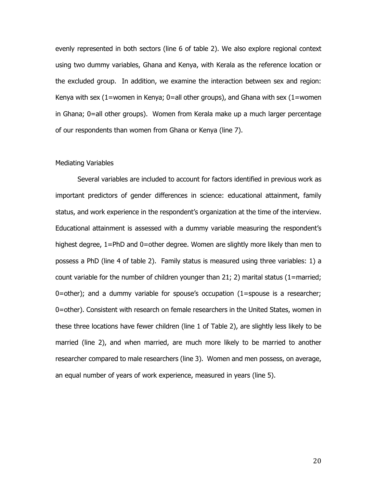evenly represented in both sectors (line 6 of table 2). We also explore regional context using two dummy variables, Ghana and Kenya, with Kerala as the reference location or the excluded group. In addition, we examine the interaction between sex and region: Kenya with sex  $(1=$ women in Kenya;  $0=$ all other groups), and Ghana with sex  $(1=$ women in Ghana; 0=all other groups). Women from Kerala make up a much larger percentage of our respondents than women from Ghana or Kenya (line 7).

#### Mediating Variables

Several variables are included to account for factors identified in previous work as important predictors of gender differences in science: educational attainment, family status, and work experience in the respondent's organization at the time of the interview. Educational attainment is assessed with a dummy variable measuring the respondent's highest degree, 1=PhD and 0=other degree. Women are slightly more likely than men to possess a PhD (line 4 of table 2). Family status is measured using three variables: 1) a count variable for the number of children younger than 21; 2) marital status (1=married;  $0$ =other); and a dummy variable for spouse's occupation  $(1)$ =spouse is a researcher; 0=other). Consistent with research on female researchers in the United States, women in these three locations have fewer children (line 1 of Table 2), are slightly less likely to be married (line 2), and when married, are much more likely to be married to another researcher compared to male researchers (line 3). Women and men possess, on average, an equal number of years of work experience, measured in years (line 5).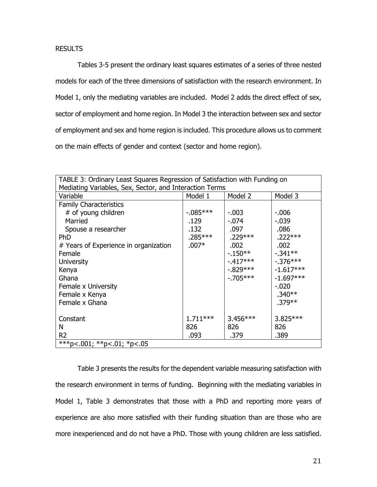# RESULTS

Tables 3-5 present the ordinary least squares estimates of a series of three nested models for each of the three dimensions of satisfaction with the research environment. In Model 1, only the mediating variables are included. Model 2 adds the direct effect of sex, sector of employment and home region. In Model 3 the interaction between sex and sector of employment and sex and home region is included. This procedure allows us to comment on the main effects of gender and context (sector and home region).

| TABLE 3: Ordinary Least Squares Regression of Satisfaction with Funding on<br>Mediating Variables, Sex, Sector, and Interaction Terms |             |             |             |
|---------------------------------------------------------------------------------------------------------------------------------------|-------------|-------------|-------------|
| Variable                                                                                                                              | Model 1     | Model 2     | Model 3     |
| <b>Family Characteristics</b>                                                                                                         |             |             |             |
| # of young children                                                                                                                   | $-0.085***$ | $-.003$     | $-0.006$    |
| Married                                                                                                                               | .129        | $-.074$     | $-0.039$    |
| Spouse a researcher                                                                                                                   | .132        | .097        | .086        |
| <b>PhD</b>                                                                                                                            | .285***     | .229***     | $.222***$   |
| # Years of Experience in organization                                                                                                 | $.007*$     | .002        | .002        |
| Female                                                                                                                                |             | $-150**$    | $-.341**$   |
| <b>University</b>                                                                                                                     |             | $-417***$   | $-0.376***$ |
| Kenya                                                                                                                                 |             | $-0.829***$ | $-1.617***$ |
| Ghana                                                                                                                                 |             | $-0.705***$ | $-1.697***$ |
| Female x University                                                                                                                   |             |             | $-.020$     |
| Female x Kenya                                                                                                                        |             |             | $.340**$    |
| Female x Ghana                                                                                                                        |             |             | $.379**$    |
|                                                                                                                                       |             |             |             |
| Constant                                                                                                                              | $1.711***$  | $3.456***$  | $3.825***$  |
| N                                                                                                                                     | 826         | 826         | 826         |
| R <sub>2</sub>                                                                                                                        | .093        | .379        | .389        |
| ***p<.001, **p<.01, *p<.05                                                                                                            |             |             |             |

Table 3 presents the results for the dependent variable measuring satisfaction with the research environment in terms of funding. Beginning with the mediating variables in Model 1, Table 3 demonstrates that those with a PhD and reporting more years of experience are also more satisfied with their funding situation than are those who are more inexperienced and do not have a PhD. Those with young children are less satisfied.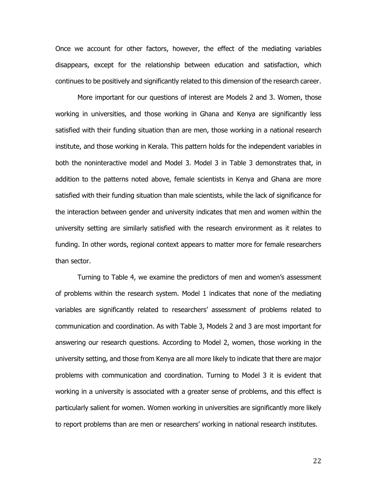Once we account for other factors, however, the effect of the mediating variables disappears, except for the relationship between education and satisfaction, which continues to be positively and significantly related to this dimension of the research career.

More important for our questions of interest are Models 2 and 3. Women, those working in universities, and those working in Ghana and Kenya are significantly less satisfied with their funding situation than are men, those working in a national research institute, and those working in Kerala. This pattern holds for the independent variables in both the noninteractive model and Model 3. Model 3 in Table 3 demonstrates that, in addition to the patterns noted above, female scientists in Kenya and Ghana are more satisfied with their funding situation than male scientists, while the lack of significance for the interaction between gender and university indicates that men and women within the university setting are similarly satisfied with the research environment as it relates to funding. In other words, regional context appears to matter more for female researchers than sector.

Turning to Table 4, we examine the predictors of men and women's assessment of problems within the research system. Model 1 indicates that none of the mediating variables are significantly related to researchers' assessment of problems related to communication and coordination. As with Table 3, Models 2 and 3 are most important for answering our research questions. According to Model 2, women, those working in the university setting, and those from Kenya are all more likely to indicate that there are major problems with communication and coordination. Turning to Model 3 it is evident that working in a university is associated with a greater sense of problems, and this effect is particularly salient for women. Women working in universities are significantly more likely to report problems than are men or researchers' working in national research institutes.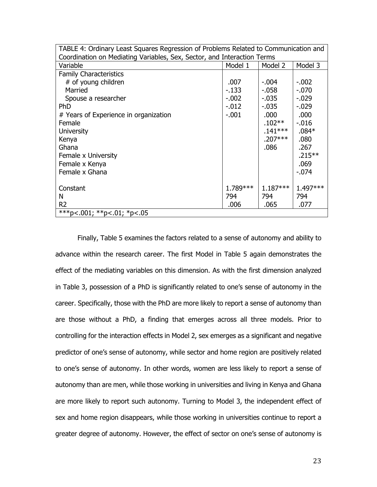| TABLE 4: Ordinary Least Squares Regression of Problems Related to Communication and |          |            |            |
|-------------------------------------------------------------------------------------|----------|------------|------------|
| Coordination on Mediating Variables, Sex, Sector, and Interaction Terms             |          |            |            |
| Variable                                                                            | Model 1  | Model 2    | Model 3    |
| <b>Family Characteristics</b>                                                       |          |            |            |
| # of young children                                                                 | .007     | $-.004$    | $-.002$    |
| Married                                                                             | $-133$   | $-0.058$   | $-.070$    |
| Spouse a researcher                                                                 | $-0.002$ | $-0.035$   | $-0.029$   |
| <b>PhD</b>                                                                          | $-.012$  | $-0.035$   | $-0.029$   |
| # Years of Experience in organization                                               | $-.001$  | .000       | .000       |
| Female                                                                              |          | $.102**$   | $-0.016$   |
| <b>University</b>                                                                   |          | $.141***$  | $.084*$    |
| Kenya                                                                               |          | $.207***$  | .080       |
| Ghana                                                                               |          | .086       | .267       |
| Female x University                                                                 |          |            | $.215***$  |
| Female x Kenya                                                                      |          |            | .069       |
| Female x Ghana                                                                      |          |            | $-.074$    |
|                                                                                     |          |            |            |
| Constant                                                                            | 1.789*** | $1.187***$ | $1.497***$ |
| N                                                                                   | 794      | 794        | 794        |
| R <sub>2</sub>                                                                      | .006     | .065       | .077       |
| ***p<.001; **p<.01; *p<.05                                                          |          |            |            |

Finally, Table 5 examines the factors related to a sense of autonomy and ability to advance within the research career. The first Model in Table 5 again demonstrates the effect of the mediating variables on this dimension. As with the first dimension analyzed in Table 3, possession of a PhD is significantly related to one's sense of autonomy in the career. Specifically, those with the PhD are more likely to report a sense of autonomy than are those without a PhD, a finding that emerges across all three models. Prior to controlling for the interaction effects in Model 2, sex emerges as a significant and negative predictor of one's sense of autonomy, while sector and home region are positively related to one's sense of autonomy. In other words, women are less likely to report a sense of autonomy than are men, while those working in universities and living in Kenya and Ghana are more likely to report such autonomy. Turning to Model 3, the independent effect of sex and home region disappears, while those working in universities continue to report a greater degree of autonomy. However, the effect of sector on one's sense of autonomy is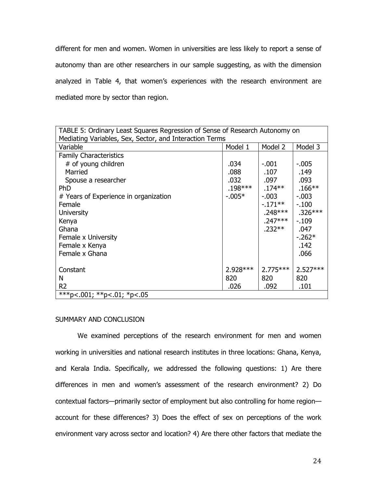different for men and women. Women in universities are less likely to report a sense of autonomy than are other researchers in our sample suggesting, as with the dimension analyzed in Table 4, that women's experiences with the research environment are mediated more by sector than region.

| TABLE 5: Ordinary Least Squares Regression of Sense of Research Autonomy on<br>Mediating Variables, Sex, Sector, and Interaction Terms |           |            |            |
|----------------------------------------------------------------------------------------------------------------------------------------|-----------|------------|------------|
| Variable                                                                                                                               | Model 1   | Model 2    | Model 3    |
| <b>Family Characteristics</b>                                                                                                          |           |            |            |
| # of young children                                                                                                                    | .034      | $-.001$    | $-0.005$   |
| Married                                                                                                                                | .088      | .107       | .149       |
| Spouse a researcher                                                                                                                    | .032      | .097       | .093       |
| <b>PhD</b>                                                                                                                             | $.198***$ | $.174**$   | $.166**$   |
| # Years of Experience in organization                                                                                                  | $-0.005*$ | $-0.003$   | $-0.003$   |
| Female                                                                                                                                 |           | $-171**$   | $-100$     |
| <b>University</b>                                                                                                                      |           | $.248***$  | $.326***$  |
| Kenya                                                                                                                                  |           | $.247***$  | $-109$     |
| Ghana                                                                                                                                  |           | $.232**$   | .047       |
| Female x University                                                                                                                    |           |            | $-0.262*$  |
| Female x Kenya                                                                                                                         |           |            | .142       |
| Female x Ghana                                                                                                                         |           |            | .066       |
|                                                                                                                                        |           |            |            |
| Constant                                                                                                                               | 2.928***  | $2.775***$ | $2.527***$ |
| N                                                                                                                                      | 820       | 820        | 820        |
| R <sub>2</sub>                                                                                                                         | .026      | .092       | .101       |
| ***p<.001; **p<.01; *p<.05                                                                                                             |           |            |            |

### SUMMARY AND CONCLUSION

We examined perceptions of the research environment for men and women working in universities and national research institutes in three locations: Ghana, Kenya, and Kerala India. Specifically, we addressed the following questions: 1) Are there differences in men and women's assessment of the research environment? 2) Do contextual factors—primarily sector of employment but also controlling for home region account for these differences? 3) Does the effect of sex on perceptions of the work environment vary across sector and location? 4) Are there other factors that mediate the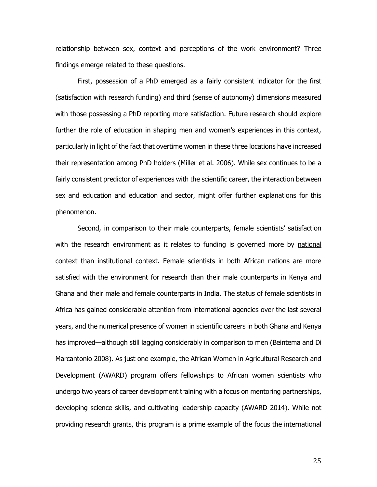relationship between sex, context and perceptions of the work environment? Three findings emerge related to these questions.

First, possession of a PhD emerged as a fairly consistent indicator for the first (satisfaction with research funding) and third (sense of autonomy) dimensions measured with those possessing a PhD reporting more satisfaction. Future research should explore further the role of education in shaping men and women's experiences in this context, particularly in light of the fact that overtime women in these three locations have increased their representation among PhD holders (Miller et al. 2006). While sex continues to be a fairly consistent predictor of experiences with the scientific career, the interaction between sex and education and education and sector, might offer further explanations for this phenomenon.

Second, in comparison to their male counterparts, female scientists' satisfaction with the research environment as it relates to funding is governed more by national context than institutional context. Female scientists in both African nations are more satisfied with the environment for research than their male counterparts in Kenya and Ghana and their male and female counterparts in India. The status of female scientists in Africa has gained considerable attention from international agencies over the last several years, and the numerical presence of women in scientific careers in both Ghana and Kenya has improved—although still lagging considerably in comparison to men (Beintema and Di Marcantonio 2008). As just one example, the African Women in Agricultural Research and Development (AWARD) program offers fellowships to African women scientists who undergo two years of career development training with a focus on mentoring partnerships, developing science skills, and cultivating leadership capacity (AWARD 2014). While not providing research grants, this program is a prime example of the focus the international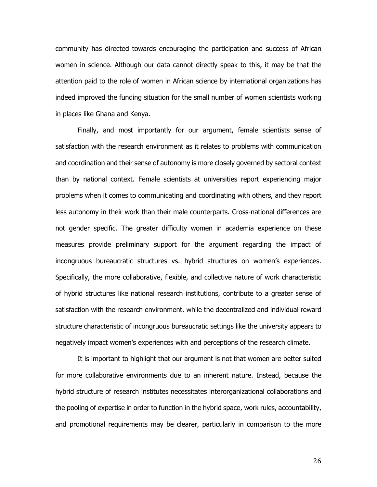community has directed towards encouraging the participation and success of African women in science. Although our data cannot directly speak to this, it may be that the attention paid to the role of women in African science by international organizations has indeed improved the funding situation for the small number of women scientists working in places like Ghana and Kenya.

Finally, and most importantly for our argument, female scientists sense of satisfaction with the research environment as it relates to problems with communication and coordination and their sense of autonomy is more closely governed by sectoral context than by national context. Female scientists at universities report experiencing major problems when it comes to communicating and coordinating with others, and they report less autonomy in their work than their male counterparts. Cross-national differences are not gender specific. The greater difficulty women in academia experience on these measures provide preliminary support for the argument regarding the impact of incongruous bureaucratic structures vs. hybrid structures on women's experiences. Specifically, the more collaborative, flexible, and collective nature of work characteristic of hybrid structures like national research institutions, contribute to a greater sense of satisfaction with the research environment, while the decentralized and individual reward structure characteristic of incongruous bureaucratic settings like the university appears to negatively impact women's experiences with and perceptions of the research climate.

It is important to highlight that our argument is not that women are better suited for more collaborative environments due to an inherent nature. Instead, because the hybrid structure of research institutes necessitates interorganizational collaborations and the pooling of expertise in order to function in the hybrid space, work rules, accountability, and promotional requirements may be clearer, particularly in comparison to the more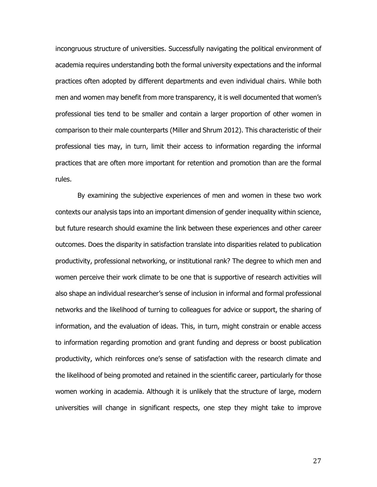incongruous structure of universities. Successfully navigating the political environment of academia requires understanding both the formal university expectations and the informal practices often adopted by different departments and even individual chairs. While both men and women may benefit from more transparency, it is well documented that women's professional ties tend to be smaller and contain a larger proportion of other women in comparison to their male counterparts (Miller and Shrum 2012). This characteristic of their professional ties may, in turn, limit their access to information regarding the informal practices that are often more important for retention and promotion than are the formal rules.

By examining the subjective experiences of men and women in these two work contexts our analysis taps into an important dimension of gender inequality within science, but future research should examine the link between these experiences and other career outcomes. Does the disparity in satisfaction translate into disparities related to publication productivity, professional networking, or institutional rank? The degree to which men and women perceive their work climate to be one that is supportive of research activities will also shape an individual researcher's sense of inclusion in informal and formal professional networks and the likelihood of turning to colleagues for advice or support, the sharing of information, and the evaluation of ideas. This, in turn, might constrain or enable access to information regarding promotion and grant funding and depress or boost publication productivity, which reinforces one's sense of satisfaction with the research climate and the likelihood of being promoted and retained in the scientific career, particularly for those women working in academia. Although it is unlikely that the structure of large, modern universities will change in significant respects, one step they might take to improve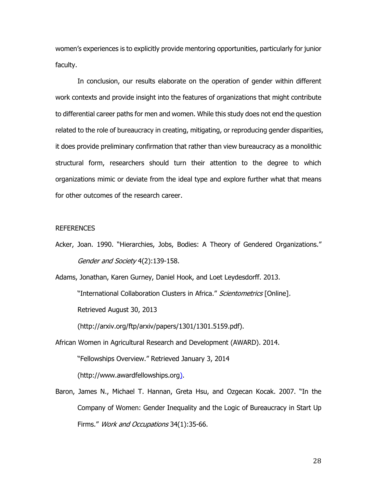women's experiences is to explicitly provide mentoring opportunities, particularly for junior faculty.

In conclusion, our results elaborate on the operation of gender within different work contexts and provide insight into the features of organizations that might contribute to differential career paths for men and women. While this study does not end the question related to the role of bureaucracy in creating, mitigating, or reproducing gender disparities, it does provide preliminary confirmation that rather than view bureaucracy as a monolithic structural form, researchers should turn their attention to the degree to which organizations mimic or deviate from the ideal type and explore further what that means for other outcomes of the research career.

### **REFERENCES**

Acker, Joan. 1990. "Hierarchies, Jobs, Bodies: A Theory of Gendered Organizations." Gender and Society 4(2):139-158.

Adams, Jonathan, Karen Gurney, Daniel Hook, and Loet Leydesdorff. 2013.

"International Collaboration Clusters in Africa." Scientometrics [Online].

Retrieved August 30, 2013

(http://arxiv.org/ftp/arxiv/papers/1301/1301.5159.pdf).

- African Women in Agricultural Research and Development (AWARD). 2014. "Fellowships Overview." Retrieved January 3, 2014 (http://www.awardfellowships.org).
- Baron, James N., Michael T. Hannan, Greta Hsu, and Ozgecan Kocak. 2007. "In the Company of Women: Gender Inequality and the Logic of Bureaucracy in Start Up Firms." Work and Occupations 34(1):35-66.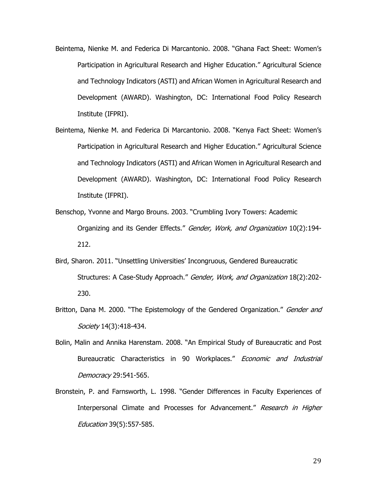- Beintema, Nienke M. and Federica Di Marcantonio. 2008. "Ghana Fact Sheet: Women's Participation in Agricultural Research and Higher Education." Agricultural Science and Technology Indicators (ASTI) and African Women in Agricultural Research and Development (AWARD). Washington, DC: International Food Policy Research Institute (IFPRI).
- Beintema, Nienke M. and Federica Di Marcantonio. 2008. "Kenya Fact Sheet: Women's Participation in Agricultural Research and Higher Education." Agricultural Science and Technology Indicators (ASTI) and African Women in Agricultural Research and Development (AWARD). Washington, DC: International Food Policy Research Institute (IFPRI).
- Benschop, Yvonne and Margo Brouns. 2003. "Crumbling Ivory Towers: Academic Organizing and its Gender Effects." Gender, Work, and Organization 10(2):194-212.
- Bird, Sharon. 2011. "Unsettling Universities' Incongruous, Gendered Bureaucratic Structures: A Case-Study Approach." Gender, Work, and Organization 18(2):202-230.
- Britton, Dana M. 2000. "The Epistemology of the Gendered Organization." Gender and Society 14(3):418-434.
- Bolin, Malin and Annika Harenstam. 2008. "An Empirical Study of Bureaucratic and Post Bureaucratic Characteristics in 90 Workplaces." Economic and Industrial Democracy 29:541-565.
- Bronstein, P. and Farnsworth, L. 1998. "Gender Differences in Faculty Experiences of Interpersonal Climate and Processes for Advancement." Research in Higher Education 39(5):557-585.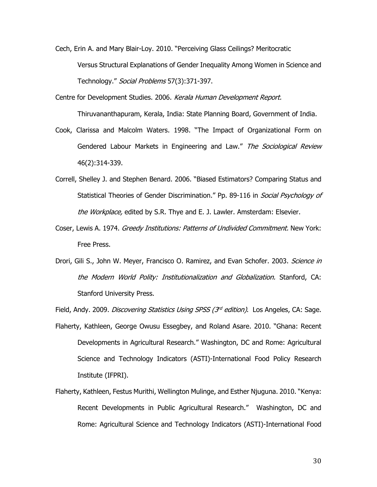- Cech, Erin A. and Mary Blair-Loy. 2010. "Perceiving Glass Ceilings? Meritocratic Versus Structural Explanations of Gender Inequality Among Women in Science and Technology." Social Problems 57(3):371-397.
- Centre for Development Studies. 2006. Kerala Human Development Report. Thiruvananthapuram, Kerala, India: State Planning Board, Government of India.
- Cook, Clarissa and Malcolm Waters. 1998. "The Impact of Organizational Form on Gendered Labour Markets in Engineering and Law." The Sociological Review 46(2):314-339.
- Correll, Shelley J. and Stephen Benard. 2006. "Biased Estimators? Comparing Status and Statistical Theories of Gender Discrimination." Pp. 89-116 in Social Psychology of the Workplace, edited by S.R. Thye and E. J. Lawler. Amsterdam: Elsevier.
- Coser, Lewis A. 1974. Greedy Institutions: Patterns of Undivided Commitment. New York: Free Press.
- Drori, Gili S., John W. Meyer, Francisco O. Ramirez, and Evan Schofer. 2003. Science in the Modern World Polity: Institutionalization and Globalization. Stanford, CA: Stanford University Press.

Field, Andy. 2009. *Discovering Statistics Using SPSS (3<sup>rd</sup> edition)*. Los Angeles, CA: Sage.

- Flaherty, Kathleen, George Owusu Essegbey, and Roland Asare. 2010. "Ghana: Recent Developments in Agricultural Research." Washington, DC and Rome: Agricultural Science and Technology Indicators (ASTI)-International Food Policy Research Institute (IFPRI).
- Flaherty, Kathleen, Festus Murithi, Wellington Mulinge, and Esther Njuguna. 2010. "Kenya: Recent Developments in Public Agricultural Research." Washington, DC and Rome: Agricultural Science and Technology Indicators (ASTI)-International Food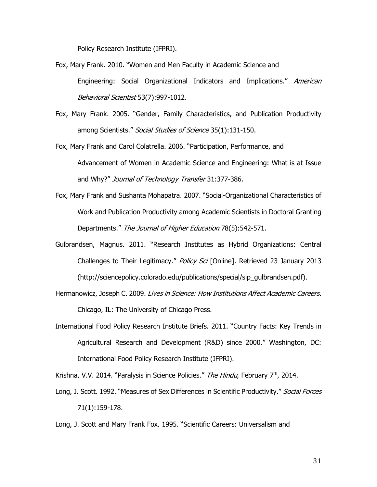Policy Research Institute (IFPRI).

- Fox, Mary Frank. 2010. "Women and Men Faculty in Academic Science and Engineering: Social Organizational Indicators and Implications." American Behavioral Scientist 53(7):997-1012.
- Fox, Mary Frank. 2005. "Gender, Family Characteristics, and Publication Productivity among Scientists." Social Studies of Science 35(1):131-150.
- Fox, Mary Frank and Carol Colatrella. 2006. "Participation, Performance, and Advancement of Women in Academic Science and Engineering: What is at Issue and Why?" Journal of Technology Transfer 31:377-386.
- Fox, Mary Frank and Sushanta Mohapatra. 2007. "Social-Organizational Characteristics of Work and Publication Productivity among Academic Scientists in Doctoral Granting Departments." The Journal of Higher Education 78(5):542-571.
- Gulbrandsen, Magnus. 2011. "Research Institutes as Hybrid Organizations: Central Challenges to Their Legitimacy." Policy Sci [Online]. Retrieved 23 January 2013 (http://sciencepolicy.colorado.edu/publications/special/sip\_gulbrandsen.pdf).
- Hermanowicz, Joseph C. 2009. Lives in Science: How Institutions Affect Academic Careers. Chicago, IL: The University of Chicago Press.
- International Food Policy Research Institute Briefs. 2011. "Country Facts: Key Trends in Agricultural Research and Development (R&D) since 2000." Washington, DC: International Food Policy Research Institute (IFPRI).

Krishna, V.V. 2014. "Paralysis in Science Policies." The Hindu, February 7<sup>th</sup>, 2014.

Long, J. Scott. 1992. "Measures of Sex Differences in Scientific Productivity." Social Forces 71(1):159-178.

Long, J. Scott and Mary Frank Fox. 1995. "Scientific Careers: Universalism and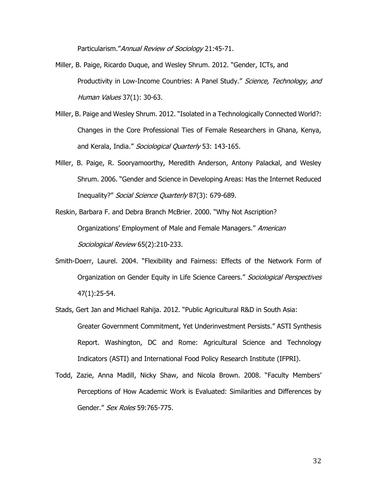Particularism." Annual Review of Sociology 21:45-71.

- Miller, B. Paige, Ricardo Duque, and Wesley Shrum. 2012. "Gender, ICTs, and Productivity in Low-Income Countries: A Panel Study." Science, Technology, and Human Values 37(1): 30-63.
- Miller, B. Paige and Wesley Shrum. 2012. "Isolated in a Technologically Connected World?: Changes in the Core Professional Ties of Female Researchers in Ghana, Kenya, and Kerala, India." Sociological Quarterly 53: 143-165.
- Miller, B. Paige, R. Sooryamoorthy, Meredith Anderson, Antony Palackal, and Wesley Shrum. 2006. "Gender and Science in Developing Areas: Has the Internet Reduced Inequality?" Social Science Quarterly 87(3): 679-689.

Reskin, Barbara F. and Debra Branch McBrier. 2000. "Why Not Ascription? Organizations' Employment of Male and Female Managers." American Sociological Review 65(2):210-233.

- Smith-Doerr, Laurel. 2004. "Flexibility and Fairness: Effects of the Network Form of Organization on Gender Equity in Life Science Careers." Sociological Perspectives 47(1):25-54.
- Stads, Gert Jan and Michael Rahija. 2012. "Public Agricultural R&D in South Asia: Greater Government Commitment, Yet Underinvestment Persists." ASTI Synthesis Report. Washington, DC and Rome: Agricultural Science and Technology Indicators (ASTI) and International Food Policy Research Institute (IFPRI).
- Todd, Zazie, Anna Madill, Nicky Shaw, and Nicola Brown. 2008. "Faculty Members' Perceptions of How Academic Work is Evaluated: Similarities and Differences by Gender." Sex Roles 59:765-775.